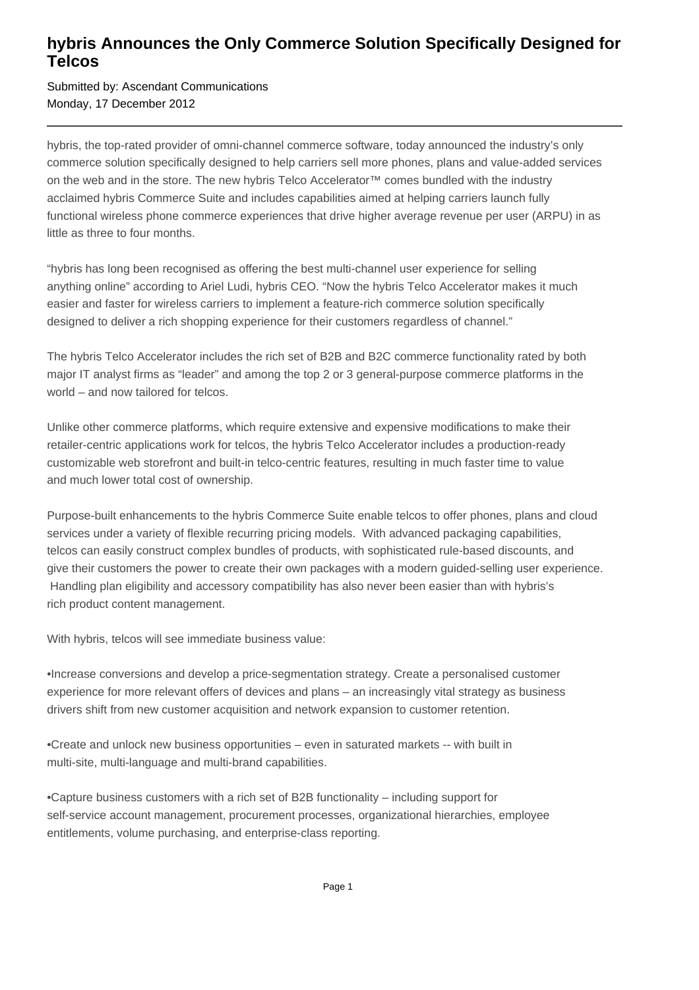## **hybris Announces the Only Commerce Solution Specifically Designed for Telcos**

Submitted by: Ascendant Communications Monday, 17 December 2012

hybris, the top-rated provider of omni-channel commerce software, today announced the industry's only commerce solution specifically designed to help carriers sell more phones, plans and value-added services on the web and in the store. The new hybris Telco Accelerator™ comes bundled with the industry acclaimed hybris Commerce Suite and includes capabilities aimed at helping carriers launch fully functional wireless phone commerce experiences that drive higher average revenue per user (ARPU) in as little as three to four months.

"hybris has long been recognised as offering the best multi-channel user experience for selling anything online" according to Ariel Ludi, hybris CEO. "Now the hybris Telco Accelerator makes it much easier and faster for wireless carriers to implement a feature-rich commerce solution specifically designed to deliver a rich shopping experience for their customers regardless of channel."

The hybris Telco Accelerator includes the rich set of B2B and B2C commerce functionality rated by both major IT analyst firms as "leader" and among the top 2 or 3 general-purpose commerce platforms in the world – and now tailored for telcos.

Unlike other commerce platforms, which require extensive and expensive modifications to make their retailer-centric applications work for telcos, the hybris Telco Accelerator includes a production-ready customizable web storefront and built-in telco-centric features, resulting in much faster time to value and much lower total cost of ownership.

Purpose-built enhancements to the hybris Commerce Suite enable telcos to offer phones, plans and cloud services under a variety of flexible recurring pricing models. With advanced packaging capabilities, telcos can easily construct complex bundles of products, with sophisticated rule-based discounts, and give their customers the power to create their own packages with a modern guided-selling user experience. Handling plan eligibility and accessory compatibility has also never been easier than with hybris's rich product content management.

With hybris, telcos will see immediate business value:

• Increase conversions and develop a price-segmentation strategy. Create a personalised customer experience for more relevant offers of devices and plans – an increasingly vital strategy as business drivers shift from new customer acquisition and network expansion to customer retention.

• Create and unlock new business opportunities – even in saturated markets -- with built in multi-site, multi-language and multi-brand capabilities.

• Capture business customers with a rich set of B2B functionality – including support for self-service account management, procurement processes, organizational hierarchies, employee entitlements, volume purchasing, and enterprise-class reporting.